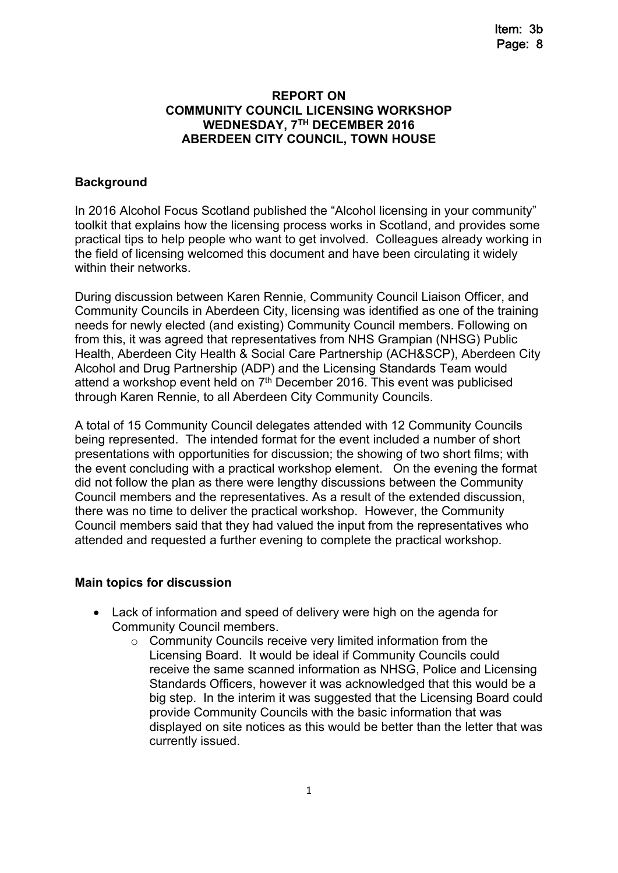#### **REPORT ON COMMUNITY COUNCIL LICENSING WORKSHOP WEDNESDAY, 7 TH DECEMBER 2016 ABERDEEN CITY COUNCIL, TOWN HOUSE**

### **Background**

In 2016 Alcohol Focus Scotland published the "Alcohol licensing in your community" toolkit that explains how the licensing process works in Scotland, and provides some practical tips to help people who want to get involved. Colleagues already working in the field of licensing welcomed this document and have been circulating it widely within their networks.

During discussion between Karen Rennie, Community Council Liaison Officer, and Community Councils in Aberdeen City, licensing was identified as one of the training needs for newly elected (and existing) Community Council members. Following on from this, it was agreed that representatives from NHS Grampian (NHSG) Public Health, Aberdeen City Health & Social Care Partnership (ACH&SCP), Aberdeen City Alcohol and Drug Partnership (ADP) and the Licensing Standards Team would attend a workshop event held on  $7<sup>th</sup>$  December 2016. This event was publicised through Karen Rennie, to all Aberdeen City Community Councils.

A total of 15 Community Council delegates attended with 12 Community Councils being represented. The intended format for the event included a number of short presentations with opportunities for discussion; the showing of two short films; with the event concluding with a practical workshop element. On the evening the format did not follow the plan as there were lengthy discussions between the Community Council members and the representatives. As a result of the extended discussion, there was no time to deliver the practical workshop. However, the Community Council members said that they had valued the input from the representatives who attended and requested a further evening to complete the practical workshop.

#### **Main topics for discussion**

- Lack of information and speed of delivery were high on the agenda for Community Council members.
	- $\circ$  Community Councils receive very limited information from the Licensing Board. It would be ideal if Community Councils could receive the same scanned information as NHSG, Police and Licensing Standards Officers, however it was acknowledged that this would be a big step. In the interim it was suggested that the Licensing Board could provide Community Councils with the basic information that was displayed on site notices as this would be better than the letter that was currently issued.